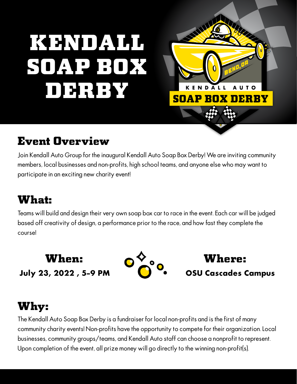# KENNDALL SOAP BOX DERBY



# Event Overview

Join Kendall Auto Group for the inaugural Kendall Auto Soap Box Derby! We are inviting community members, local businesses and non-profits, high school teams, and anyone else who may want to participate in an exciting new charity event!

# What:

Teams will build and design their very own soap box car to race in the event. Each car will be judged based off creativity of design, a performance prior to the race, and how fast they complete the course!

### **July 23, 2022 , 5-9 PM** When:



**OSU Cascades Campus**  Where:

# Why:

The Kendall Auto Soap Box Derby is a fundraiser for local non-profits and is the first of many community charity events! Non-profits have the opportunity to compete for their organization. Local businesses, community groups/teams, and Kendall Auto staff can choose a nonprofit to represent. Upon completion of the event, all prize money will go directly to the winning non-profit(s).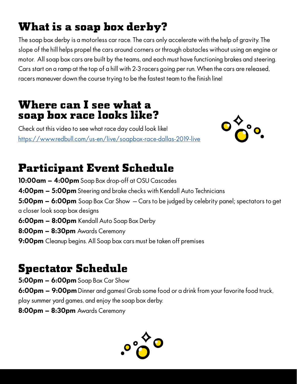# What is a soap box derby?

The soap box derby is a motorless car race. The cars only accelerate with the help of gravity. The slope of the hill helps propel the cars around corners or through obstacles without using an engine or motor. All soap box cars are built by the teams, and each must have functioning brakes and steering. Cars start on a ramp at the top of a hill with 2-3 racers going per run. When the cars are released, racers maneuver down the course trying to be the fastest team to the finish line!

#### Where can I see what a soap box race looks like?

Check out this video to see what race day could look like! <https://www.redbull.com/us-en/live/soapbox-race-dallas-2019-live>



# Participant Event Schedule

**10:00am – 4:00pm** Soap Box drop-off at OSU Cascades **4:00pm – 5:00pm** Steering and brake checks with Kendall Auto Technicians **5:00pm – 6:00pm** Soap Box Car Show – Cars to be judged by celebrity panel; spectators to get a closer look soap box designs **6:00pm – 8:00pm** Kendall Auto Soap Box Derby **8:00pm – 8:30pm** Awards Ceremony **9:00pm** Cleanup begins. All Soap box cars must be taken off premises

## Spectator Schedule

**5:00pm – 6:00pm** Soap Box Car Show

**6:00pm – 9:00pm** Dinner and games! Grab some food or a drink from your favorite food truck, play summer yard games, and enjoy the soap box derby.

**8:00pm – 8:30pm** Awards Ceremony